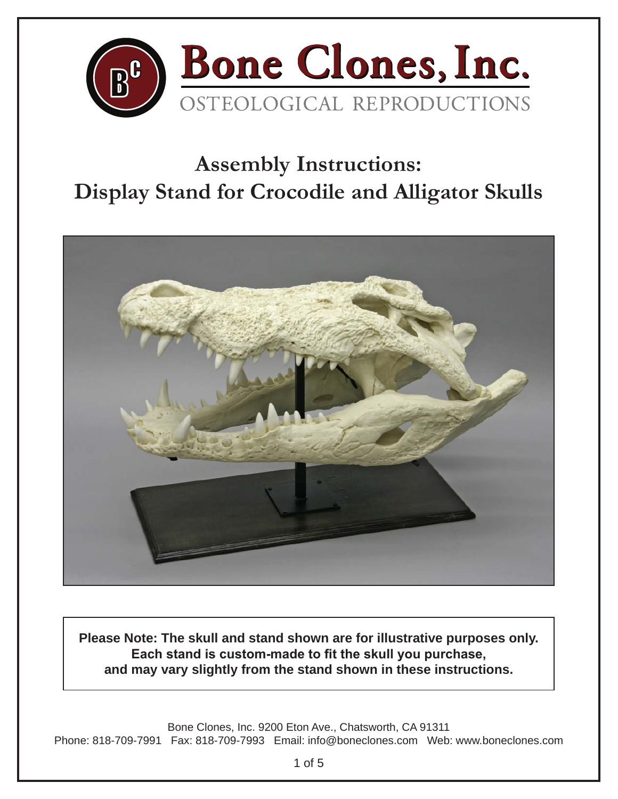

## **Assembly Instructions: Display Stand for Crocodile and Alligator Skulls**



**Please Note: The skull and stand shown are for illustrative purposes only. Each stand is custom-made to fit the skull you purchase, and may vary slightly from the stand shown in these instructions.**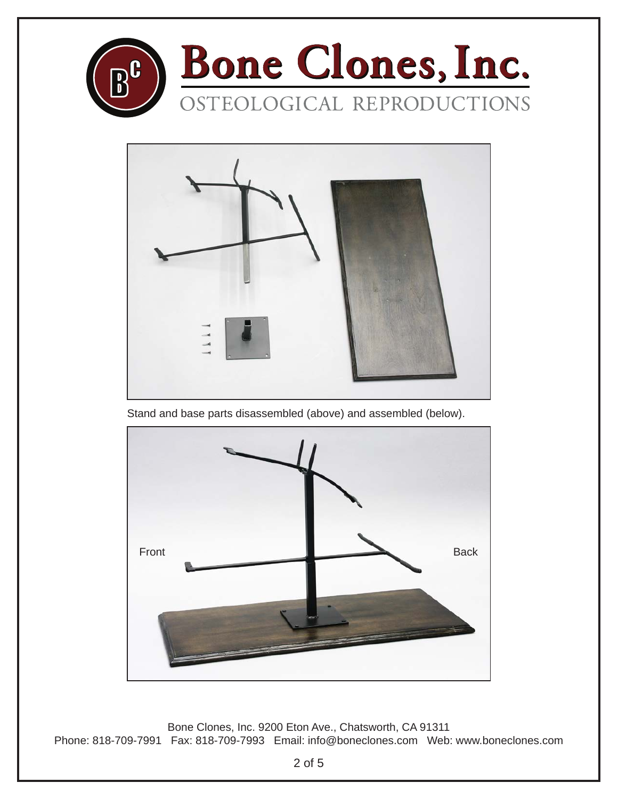



Stand and base parts disassembled (above) and assembled (below).

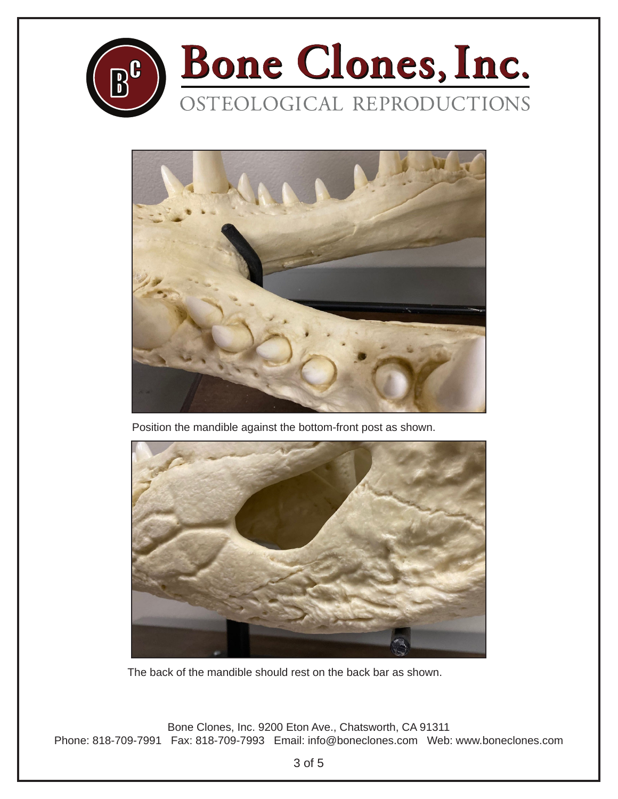



Position the mandible against the bottom-front post as shown.



The back of the mandible should rest on the back bar as shown.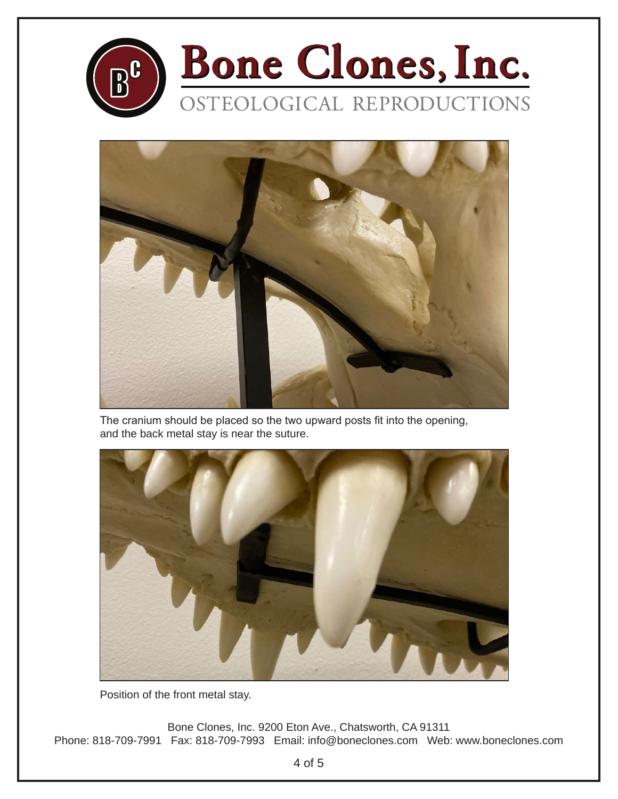



The cranium should be placed so the two upward posts fit into the opening, and the back metal stay is near the suture.



Position of the front metal stay.